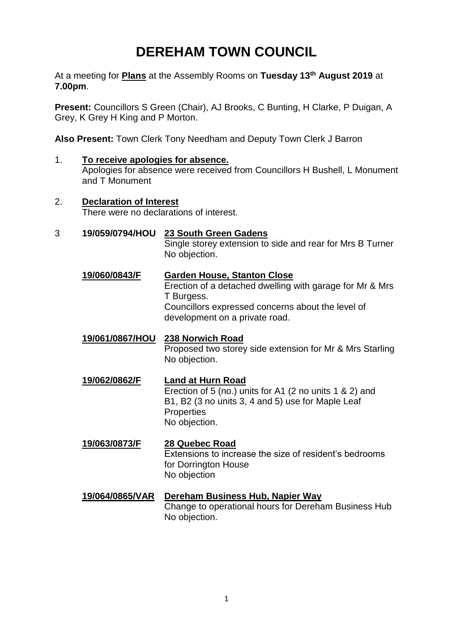# **DEREHAM TOWN COUNCIL**

At a meeting for **Plans** at the Assembly Rooms on **Tuesday 13th August 2019** at **7.00pm**.

**Present:** Councillors S Green (Chair), AJ Brooks, C Bunting, H Clarke, P Duigan, A Grey, K Grey H King and P Morton.

**Also Present:** Town Clerk Tony Needham and Deputy Town Clerk J Barron

- 1. **To receive apologies for absence.**  Apologies for absence were received from Councillors H Bushell, L Monument and T Monument
- 2. **Declaration of Interest** There were no declarations of interest.
- 3 **19/059/0794/HOU 23 South Green Gadens**

Single storey extension to side and rear for Mrs B Turner No objection.

- **19/060/0843/F Garden House, Stanton Close** Erection of a detached dwelling with garage for Mr & Mrs T Burgess. Councillors expressed concerns about the level of development on a private road.
- **19/061/0867/HOU 238 Norwich Road** Proposed two storey side extension for Mr & Mrs Starling No objection.
- **19/062/0862/F Land at Hurn Road** Erection of 5 (no.) units for A1 (2 no units 1 & 2) and B1, B2 (3 no units 3, 4 and 5) use for Maple Leaf **Properties** No objection.
- **19/063/0873/F 28 Quebec Road** Extensions to increase the size of resident's bedrooms for Dorrington House No objection
- **19/064/0865/VAR Dereham Business Hub, Napier Way** Change to operational hours for Dereham Business Hub No objection.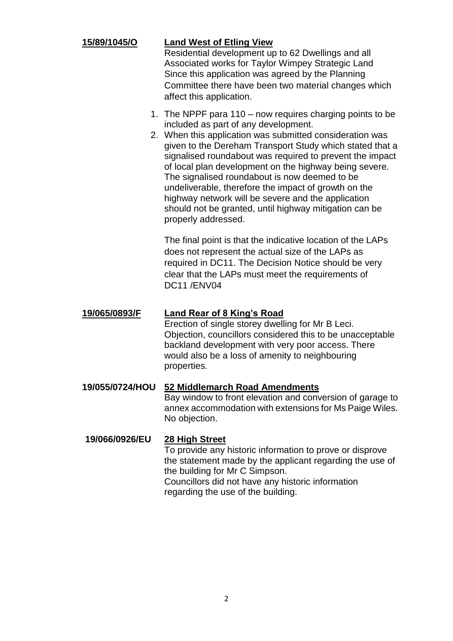## **15/89/1045/O Land West of Etling View**

Residential development up to 62 Dwellings and all Associated works for Taylor Wimpey Strategic Land Since this application was agreed by the Planning Committee there have been two material changes which affect this application.

- 1. The NPPF para 110 now requires charging points to be included as part of any development.
- 2. When this application was submitted consideration was given to the Dereham Transport Study which stated that a signalised roundabout was required to prevent the impact of local plan development on the highway being severe. The signalised roundabout is now deemed to be undeliverable, therefore the impact of growth on the highway network will be severe and the application should not be granted, until highway mitigation can be properly addressed.

The final point is that the indicative location of the LAPs does not represent the actual size of the LAPs as required in DC11. The Decision Notice should be very clear that the LAPs must meet the requirements of DC11 /ENV04

### **19/065/0893/F Land Rear of 8 King's Road**

Erection of single storey dwelling for Mr B Leci. Objection, councillors considered this to be unacceptable backland development with very poor access. There would also be a loss of amenity to neighbouring properties.

# **19/055/0724/HOU 52 Middlemarch Road Amendments** Bay window to front elevation and conversion of garage to

annex accommodation with extensions for Ms Paige Wiles. No objection.

### **19/066/0926/EU 28 High Street**

To provide any historic information to prove or disprove the statement made by the applicant regarding the use of the building for Mr C Simpson. Councillors did not have any historic information regarding the use of the building.